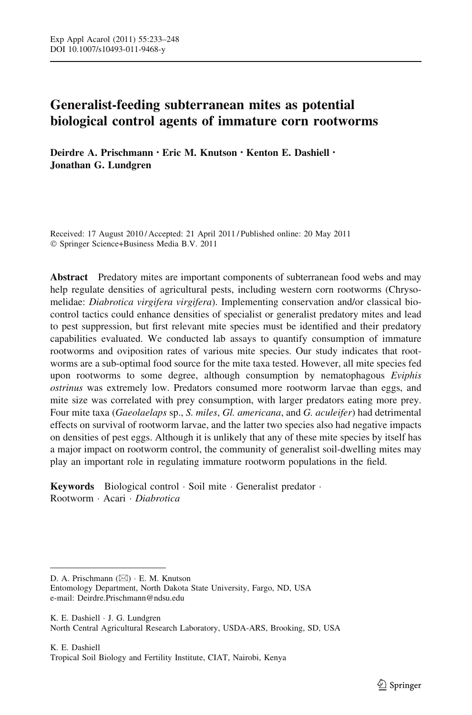# Generalist-feeding subterranean mites as potential biological control agents of immature corn rootworms

Deirdre A. Prischmann • Eric M. Knutson • Kenton E. Dashiell • Jonathan G. Lundgren

Received: 17 August 2010 / Accepted: 21 April 2011 / Published online: 20 May 2011 - Springer Science+Business Media B.V. 2011

Abstract Predatory mites are important components of subterranean food webs and may help regulate densities of agricultural pests, including western corn rootworms (Chrysomelidae: Diabrotica virgifera virgifera). Implementing conservation and/or classical biocontrol tactics could enhance densities of specialist or generalist predatory mites and lead to pest suppression, but first relevant mite species must be identified and their predatory capabilities evaluated. We conducted lab assays to quantify consumption of immature rootworms and oviposition rates of various mite species. Our study indicates that rootworms are a sub-optimal food source for the mite taxa tested. However, all mite species fed upon rootworms to some degree, although consumption by nematophagous *Eviphis* ostrinus was extremely low. Predators consumed more rootworm larvae than eggs, and mite size was correlated with prey consumption, with larger predators eating more prey. Four mite taxa (Gaeolaelaps sp., S. miles, Gl. americana, and G. aculeifer) had detrimental effects on survival of rootworm larvae, and the latter two species also had negative impacts on densities of pest eggs. Although it is unlikely that any of these mite species by itself has a major impact on rootworm control, the community of generalist soil-dwelling mites may play an important role in regulating immature rootworm populations in the field.

Keywords Biological control · Soil mite · Generalist predator · Rootworm · Acari · Diabrotica

K. E. Dashiell - J. G. Lundgren North Central Agricultural Research Laboratory, USDA-ARS, Brooking, SD, USA

D. A. Prischmann (⊠) · E. M. Knutson Entomology Department, North Dakota State University, Fargo, ND, USA e-mail: Deirdre.Prischmann@ndsu.edu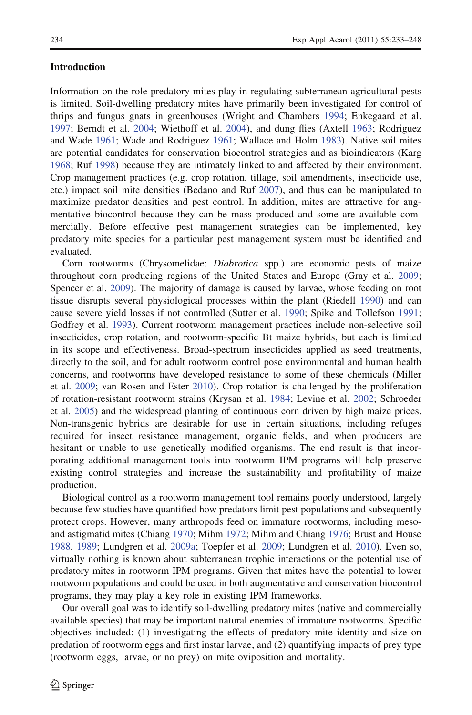# Introduction

Information on the role predatory mites play in regulating subterranean agricultural pests is limited. Soil-dwelling predatory mites have primarily been investigated for control of thrips and fungus gnats in greenhouses (Wright and Chambers [1994;](#page-15-0) Enkegaard et al. [1997;](#page-13-0) Berndt et al. [2004](#page-13-0); Wiethoff et al. [2004\)](#page-15-0), and dung flies (Axtell [1963;](#page-12-0) Rodriguez and Wade [1961;](#page-14-0) Wade and Rodriguez [1961](#page-14-0); Wallace and Holm [1983](#page-14-0)). Native soil mites are potential candidates for conservation biocontrol strategies and as bioindicators (Karg [1968;](#page-13-0) Ruf [1998](#page-14-0)) because they are intimately linked to and affected by their environment. Crop management practices (e.g. crop rotation, tillage, soil amendments, insecticide use, etc.) impact soil mite densities (Bedano and Ruf [2007](#page-13-0)), and thus can be manipulated to maximize predator densities and pest control. In addition, mites are attractive for augmentative biocontrol because they can be mass produced and some are available commercially. Before effective pest management strategies can be implemented, key predatory mite species for a particular pest management system must be identified and evaluated.

Corn rootworms (Chrysomelidae: Diabrotica spp.) are economic pests of maize throughout corn producing regions of the United States and Europe (Gray et al. [2009;](#page-13-0) Spencer et al. [2009\)](#page-14-0). The majority of damage is caused by larvae, whose feeding on root tissue disrupts several physiological processes within the plant (Riedell [1990](#page-14-0)) and can cause severe yield losses if not controlled (Sutter et al. [1990;](#page-14-0) Spike and Tollefson [1991;](#page-14-0) Godfrey et al. [1993](#page-13-0)). Current rootworm management practices include non-selective soil insecticides, crop rotation, and rootworm-specific Bt maize hybrids, but each is limited in its scope and effectiveness. Broad-spectrum insecticides applied as seed treatments, directly to the soil, and for adult rootworm control pose environmental and human health concerns, and rootworms have developed resistance to some of these chemicals (Miller et al. [2009;](#page-14-0) van Rosen and Ester [2010](#page-14-0)). Crop rotation is challenged by the proliferation of rotation-resistant rootworm strains (Krysan et al. [1984](#page-13-0); Levine et al. [2002](#page-13-0); Schroeder et al. [2005](#page-14-0)) and the widespread planting of continuous corn driven by high maize prices. Non-transgenic hybrids are desirable for use in certain situations, including refuges required for insect resistance management, organic fields, and when producers are hesitant or unable to use genetically modified organisms. The end result is that incorporating additional management tools into rootworm IPM programs will help preserve existing control strategies and increase the sustainability and profitability of maize production.

Biological control as a rootworm management tool remains poorly understood, largely because few studies have quantified how predators limit pest populations and subsequently protect crops. However, many arthropods feed on immature rootworms, including mesoand astigmatid mites (Chiang [1970;](#page-13-0) Mihm [1972](#page-14-0); Mihm and Chiang [1976](#page-14-0); Brust and House [1988,](#page-13-0) [1989](#page-13-0); Lundgren et al. [2009a](#page-13-0); Toepfer et al. [2009;](#page-14-0) Lundgren et al. [2010](#page-14-0)). Even so, virtually nothing is known about subterranean trophic interactions or the potential use of predatory mites in rootworm IPM programs. Given that mites have the potential to lower rootworm populations and could be used in both augmentative and conservation biocontrol programs, they may play a key role in existing IPM frameworks.

Our overall goal was to identify soil-dwelling predatory mites (native and commercially available species) that may be important natural enemies of immature rootworms. Specific objectives included: (1) investigating the effects of predatory mite identity and size on predation of rootworm eggs and first instar larvae, and (2) quantifying impacts of prey type (rootworm eggs, larvae, or no prey) on mite oviposition and mortality.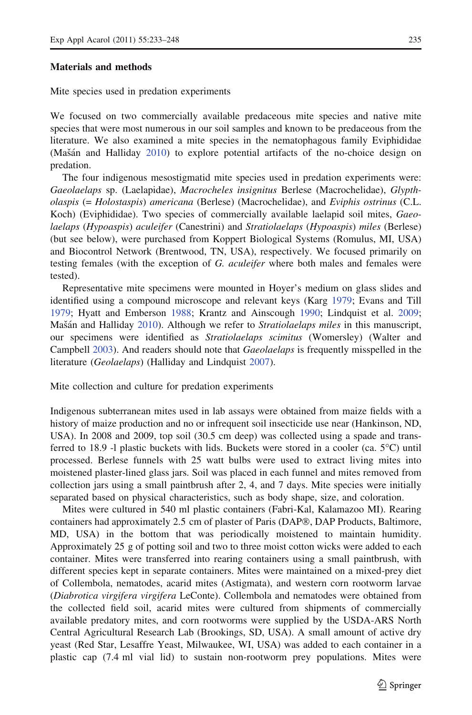# Materials and methods

Mite species used in predation experiments

We focused on two commercially available predaceous mite species and native mite species that were most numerous in our soil samples and known to be predaceous from the literature. We also examined a mite species in the nematophagous family Eviphididae  $(Mašán and Halliday 2010)$  $(Mašán and Halliday 2010)$  to explore potential artifacts of the no-choice design on predation.

The four indigenous mesostigmatid mite species used in predation experiments were: Gaeolaelaps sp. (Laelapidae), Macrocheles insignitus Berlese (Macrochelidae), Glyptholaspis (= Holostaspis) americana (Berlese) (Macrochelidae), and Eviphis ostrinus (C.L. Koch) (Eviphididae). Two species of commercially available laelapid soil mites, Gaeolaelaps (Hypoaspis) aculeifer (Canestrini) and Stratiolaelaps (Hypoaspis) miles (Berlese) (but see below), were purchased from Koppert Biological Systems (Romulus, MI, USA) and Biocontrol Network (Brentwood, TN, USA), respectively. We focused primarily on testing females (with the exception of G. aculeifer where both males and females were tested).

Representative mite specimens were mounted in Hoyer's medium on glass slides and identified using a compound microscope and relevant keys (Karg [1979;](#page-13-0) Evans and Till [1979;](#page-13-0) Hyatt and Emberson [1988](#page-13-0); Krantz and Ainscough [1990](#page-13-0); Lindquist et al. [2009;](#page-13-0) Mašán and Halliday [2010](#page-14-0)). Although we refer to *Stratiolaelaps miles* in this manuscript, our specimens were identified as Stratiolaelaps scimitus (Womersley) (Walter and Campbell [2003](#page-15-0)). And readers should note that *Gaeolaelaps* is frequently misspelled in the literature (Geolaelaps) (Halliday and Lindquist [2007](#page-13-0)).

Mite collection and culture for predation experiments

Indigenous subterranean mites used in lab assays were obtained from maize fields with a history of maize production and no or infrequent soil insecticide use near (Hankinson, ND, USA). In 2008 and 2009, top soil (30.5 cm deep) was collected using a spade and transferred to 18.9 -l plastic buckets with lids. Buckets were stored in a cooler (ca.  $5^{\circ}$ C) until processed. Berlese funnels with 25 watt bulbs were used to extract living mites into moistened plaster-lined glass jars. Soil was placed in each funnel and mites removed from collection jars using a small paintbrush after 2, 4, and 7 days. Mite species were initially separated based on physical characteristics, such as body shape, size, and coloration.

Mites were cultured in 540 ml plastic containers (Fabri-Kal, Kalamazoo MI). Rearing containers had approximately 2.5 cm of plaster of Paris (DAP®, DAP Products, Baltimore, MD, USA) in the bottom that was periodically moistened to maintain humidity. Approximately 25 g of potting soil and two to three moist cotton wicks were added to each container. Mites were transferred into rearing containers using a small paintbrush, with different species kept in separate containers. Mites were maintained on a mixed-prey diet of Collembola, nematodes, acarid mites (Astigmata), and western corn rootworm larvae (Diabrotica virgifera virgifera LeConte). Collembola and nematodes were obtained from the collected field soil, acarid mites were cultured from shipments of commercially available predatory mites, and corn rootworms were supplied by the USDA-ARS North Central Agricultural Research Lab (Brookings, SD, USA). A small amount of active dry yeast (Red Star, Lesaffre Yeast, Milwaukee, WI, USA) was added to each container in a plastic cap (7.4 ml vial lid) to sustain non-rootworm prey populations. Mites were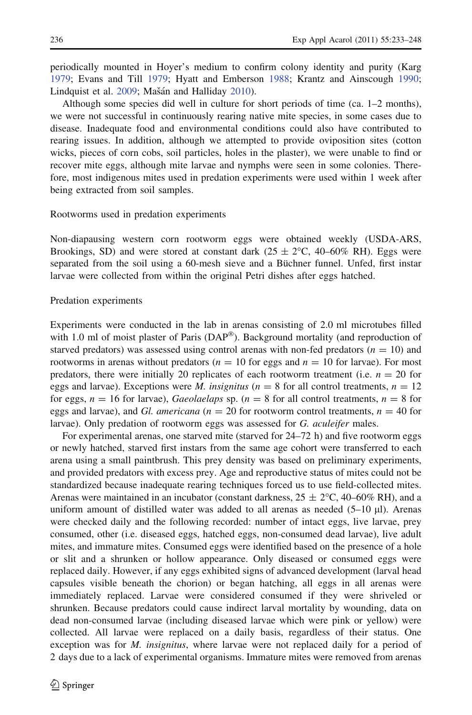periodically mounted in Hoyer's medium to confirm colony identity and purity (Karg [1979;](#page-13-0) Evans and Till [1979](#page-13-0); Hyatt and Emberson [1988](#page-13-0); Krantz and Ainscough [1990;](#page-13-0) Lindquist et al. [2009;](#page-13-0) Mašán and Halliday [2010\)](#page-14-0).

Although some species did well in culture for short periods of time (ca. 1–2 months), we were not successful in continuously rearing native mite species, in some cases due to disease. Inadequate food and environmental conditions could also have contributed to rearing issues. In addition, although we attempted to provide oviposition sites (cotton wicks, pieces of corn cobs, soil particles, holes in the plaster), we were unable to find or recover mite eggs, although mite larvae and nymphs were seen in some colonies. Therefore, most indigenous mites used in predation experiments were used within 1 week after being extracted from soil samples.

# Rootworms used in predation experiments

Non-diapausing western corn rootworm eggs were obtained weekly (USDA-ARS, Brookings, SD) and were stored at constant dark  $(25 \pm 2^{\circ}\text{C}, 40-60\% \text{ RH})$ . Eggs were separated from the soil using a 60-mesh sieve and a Büchner funnel. Unfed, first instar larvae were collected from within the original Petri dishes after eggs hatched.

# Predation experiments

Experiments were conducted in the lab in arenas consisting of 2.0 ml microtubes filled with 1.0 ml of moist plaster of Paris  $(DAP^{\circledast})$ . Background mortality (and reproduction of starved predators) was assessed using control arenas with non-fed predators ( $n = 10$ ) and rootworms in arenas without predators ( $n = 10$  for eggs and  $n = 10$  for larvae). For most predators, there were initially 20 replicates of each rootworm treatment (i.e.  $n = 20$  for eggs and larvae). Exceptions were *M. insignitus* ( $n = 8$  for all control treatments,  $n = 12$ for eggs,  $n = 16$  for larvae), *Gaeolaelaps* sp. ( $n = 8$  for all control treatments,  $n = 8$  for eggs and larvae), and *Gl. americana* ( $n = 20$  for rootworm control treatments,  $n = 40$  for larvae). Only predation of rootworm eggs was assessed for G. *aculeifer* males.

For experimental arenas, one starved mite (starved for 24–72 h) and five rootworm eggs or newly hatched, starved first instars from the same age cohort were transferred to each arena using a small paintbrush. This prey density was based on preliminary experiments, and provided predators with excess prey. Age and reproductive status of mites could not be standardized because inadequate rearing techniques forced us to use field-collected mites. Arenas were maintained in an incubator (constant darkness,  $25 \pm 2^{\circ}$ C, 40–60% RH), and a uniform amount of distilled water was added to all arenas as needed  $(5-10 \mu l)$ . Arenas were checked daily and the following recorded: number of intact eggs, live larvae, prey consumed, other (i.e. diseased eggs, hatched eggs, non-consumed dead larvae), live adult mites, and immature mites. Consumed eggs were identified based on the presence of a hole or slit and a shrunken or hollow appearance. Only diseased or consumed eggs were replaced daily. However, if any eggs exhibited signs of advanced development (larval head capsules visible beneath the chorion) or began hatching, all eggs in all arenas were immediately replaced. Larvae were considered consumed if they were shriveled or shrunken. Because predators could cause indirect larval mortality by wounding, data on dead non-consumed larvae (including diseased larvae which were pink or yellow) were collected. All larvae were replaced on a daily basis, regardless of their status. One exception was for *M. insignitus*, where larvae were not replaced daily for a period of 2 days due to a lack of experimental organisms. Immature mites were removed from arenas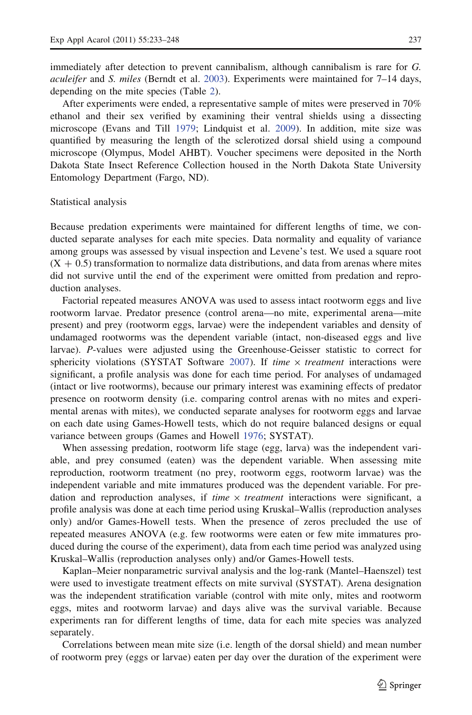immediately after detection to prevent cannibalism, although cannibalism is rare for G. aculeifer and S. miles (Berndt et al.  $2003$ ). Experiments were maintained for  $7-14$  days, depending on the mite species (Table [2](#page-10-0)).

After experiments were ended, a representative sample of mites were preserved in 70% ethanol and their sex verified by examining their ventral shields using a dissecting microscope (Evans and Till [1979](#page-13-0); Lindquist et al. [2009](#page-13-0)). In addition, mite size was quantified by measuring the length of the sclerotized dorsal shield using a compound microscope (Olympus, Model AHBT). Voucher specimens were deposited in the North Dakota State Insect Reference Collection housed in the North Dakota State University Entomology Department (Fargo, ND).

#### Statistical analysis

Because predation experiments were maintained for different lengths of time, we conducted separate analyses for each mite species. Data normality and equality of variance among groups was assessed by visual inspection and Levene's test. We used a square root  $(X + 0.5)$  transformation to normalize data distributions, and data from arenas where mites did not survive until the end of the experiment were omitted from predation and reproduction analyses.

Factorial repeated measures ANOVA was used to assess intact rootworm eggs and live rootworm larvae. Predator presence (control arena—no mite, experimental arena—mite present) and prey (rootworm eggs, larvae) were the independent variables and density of undamaged rootworms was the dependent variable (intact, non-diseased eggs and live larvae). P-values were adjusted using the Greenhouse-Geisser statistic to correct for sphericity violations (SYSTAT Software  $2007$ ). If time  $\times$  treatment interactions were significant, a profile analysis was done for each time period. For analyses of undamaged (intact or live rootworms), because our primary interest was examining effects of predator presence on rootworm density (i.e. comparing control arenas with no mites and experimental arenas with mites), we conducted separate analyses for rootworm eggs and larvae on each date using Games-Howell tests, which do not require balanced designs or equal variance between groups (Games and Howell [1976](#page-13-0); SYSTAT).

When assessing predation, rootworm life stage (egg, larva) was the independent variable, and prey consumed (eaten) was the dependent variable. When assessing mite reproduction, rootworm treatment (no prey, rootworm eggs, rootworm larvae) was the independent variable and mite immatures produced was the dependent variable. For predation and reproduction analyses, if *time*  $\times$  *treatment* interactions were significant, a profile analysis was done at each time period using Kruskal–Wallis (reproduction analyses only) and/or Games-Howell tests. When the presence of zeros precluded the use of repeated measures ANOVA (e.g. few rootworms were eaten or few mite immatures produced during the course of the experiment), data from each time period was analyzed using Kruskal–Wallis (reproduction analyses only) and/or Games-Howell tests.

Kaplan–Meier nonparametric survival analysis and the log-rank (Mantel–Haenszel) test were used to investigate treatment effects on mite survival (SYSTAT). Arena designation was the independent stratification variable (control with mite only, mites and rootworm eggs, mites and rootworm larvae) and days alive was the survival variable. Because experiments ran for different lengths of time, data for each mite species was analyzed separately.

Correlations between mean mite size (i.e. length of the dorsal shield) and mean number of rootworm prey (eggs or larvae) eaten per day over the duration of the experiment were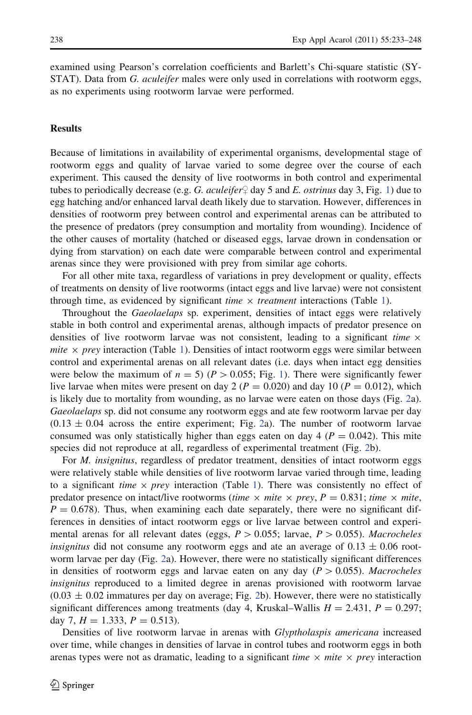examined using Pearson's correlation coefficients and Barlett's Chi-square statistic (SY-STAT). Data from G. *aculeifer* males were only used in correlations with rootworm eggs, as no experiments using rootworm larvae were performed.

# **Results**

Because of limitations in availability of experimental organisms, developmental stage of rootworm eggs and quality of larvae varied to some degree over the course of each experiment. This caused the density of live rootworms in both control and experimental tubes to periodically decrease (e.g. G. *aculeifer*  $\neq$  day 5 and E. *ostrinus* day 3, Fig. [1\)](#page-6-0) due to egg hatching and/or enhanced larval death likely due to starvation. However, differences in densities of rootworm prey between control and experimental arenas can be attributed to the presence of predators (prey consumption and mortality from wounding). Incidence of the other causes of mortality (hatched or diseased eggs, larvae drown in condensation or dying from starvation) on each date were comparable between control and experimental arenas since they were provisioned with prey from similar age cohorts.

For all other mite taxa, regardless of variations in prey development or quality, effects of treatments on density of live rootworms (intact eggs and live larvae) were not consistent through time, as evidenced by significant *time*  $\times$  *treatment* interactions (Table [1\)](#page-7-0).

Throughout the Gaeolaelaps sp. experiment, densities of intact eggs were relatively stable in both control and experimental arenas, although impacts of predator presence on densities of live rootworm larvae was not consistent, leading to a significant time  $\times$ *mite*  $\times$  *prey* interaction (Table [1\)](#page-7-0). Densities of intact rootworm eggs were similar between control and experimental arenas on all relevant dates (i.e. days when intact egg densities were below the maximum of  $n = 5$ ) ( $P > 0.055$ ; Fig. [1\)](#page-6-0). There were significantly fewer live larvae when mites were present on day 2 ( $P = 0.020$ ) and day 10 ( $P = 0.012$ ), which is likely due to mortality from wounding, as no larvae were eaten on those days (Fig. [2a](#page-8-0)). Gaeolaelaps sp. did not consume any rootworm eggs and ate few rootworm larvae per day  $(0.13 \pm 0.04)$  across the entire experiment; Fig. [2](#page-8-0)a). The number of rootworm larvae consumed was only statistically higher than eggs eaten on day 4 ( $P = 0.042$ ). This mite species did not reproduce at all, regardless of experimental treatment (Fig. [2b](#page-8-0)).

For *M. insignitus*, regardless of predator treatment, densities of intact rootworm eggs were relatively stable while densities of live rootworm larvae varied through time, leading to a significant time  $\times$  prey interaction (Table [1\)](#page-7-0). There was consistently no effect of predator presence on intact/live rootworms (time  $\times$  mite  $\times$  prey, P = 0.831; time  $\times$  mite,  $P = 0.678$ ). Thus, when examining each date separately, there were no significant differences in densities of intact rootworm eggs or live larvae between control and experimental arenas for all relevant dates (eggs,  $P > 0.055$ ; larvae,  $P > 0.055$ ). Macrocheles insignitus did not consume any rootworm eggs and ate an average of  $0.13 \pm 0.06$  rootworm larvae per day (Fig. [2a](#page-8-0)). However, there were no statistically significant differences in densities of rootworm eggs and larvae eaten on any day ( $P > 0.055$ ). Macrocheles insignitus reproduced to a limited degree in arenas provisioned with rootworm larvae  $(0.03 \pm 0.02$  $(0.03 \pm 0.02$  immatures per day on average; Fig. 2b). However, there were no statistically significant differences among treatments (day 4, Kruskal–Wallis  $H = 2.431$ ,  $P = 0.297$ ; day 7,  $H = 1.333$ ,  $P = 0.513$ ).

Densities of live rootworm larvae in arenas with Glyptholaspis americana increased over time, while changes in densities of larvae in control tubes and rootworm eggs in both arenas types were not as dramatic, leading to a significant time  $\times$  mite  $\times$  prey interaction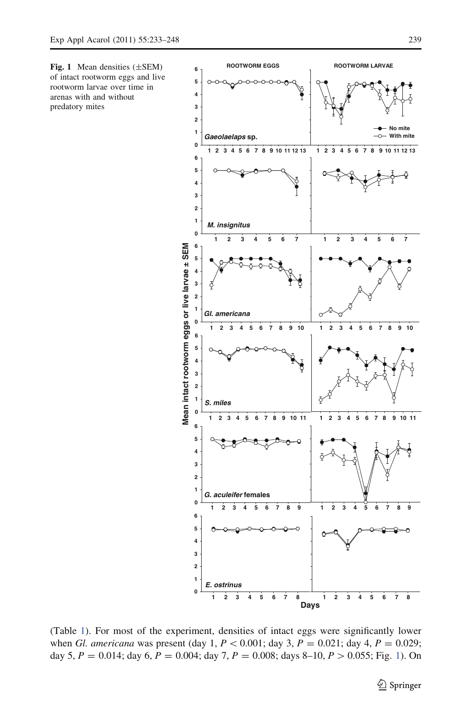<span id="page-6-0"></span>Fig. 1 Mean densities (±SEM) of intact rootworm eggs and live rootworm larvae over time in arenas with and without predatory mites



(Table [1](#page-7-0)). For most of the experiment, densities of intact eggs were significantly lower when *Gl. americana* was present (day 1,  $P < 0.001$ ; day 3,  $P = 0.021$ ; day 4,  $P = 0.029$ ; day 5,  $P = 0.014$ ; day 6,  $P = 0.004$ ; day 7,  $P = 0.008$ ; days 8-10,  $P > 0.055$ ; Fig. 1). On

 $\hat{2}$  Springer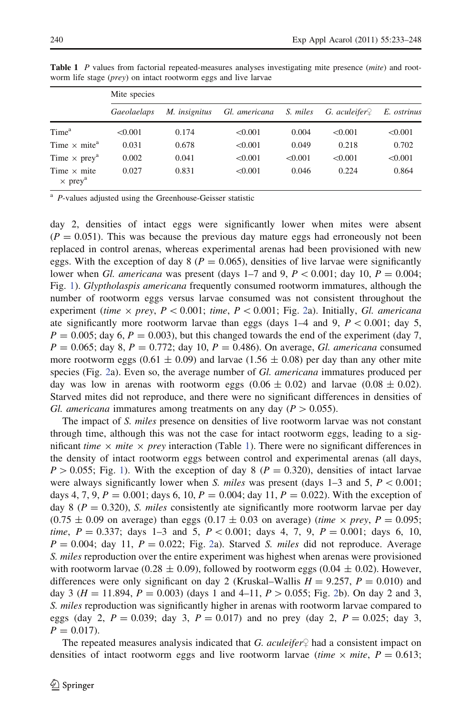|                                                  | Mite species |               |               |          |                           |             |  |  |
|--------------------------------------------------|--------------|---------------|---------------|----------|---------------------------|-------------|--|--|
|                                                  | Gaeolaelaps  | M. insignitus | Gl. americana | S. miles | G. aculeifer $\mathcal Q$ | E. ostrinus |  |  |
| Time <sup>a</sup>                                | < 0.001      | 0.174         | < 0.001       | 0.004    | < 0.001                   | < 0.001     |  |  |
| Time $\times$ mite <sup>a</sup>                  | 0.031        | 0.678         | < 0.001       | 0.049    | 0.218                     | 0.702       |  |  |
| Time $\times$ prey <sup>a</sup>                  | 0.002        | 0.041         | < 0.001       | < 0.001  | < 0.001                   | < 0.001     |  |  |
| Time $\times$ mite<br>$\times$ prey <sup>a</sup> | 0.027        | 0.831         | < 0.001       | 0.046    | 0.224                     | 0.864       |  |  |

<span id="page-7-0"></span>Table 1 P values from factorial repeated-measures analyses investigating mite presence (mite) and rootworm life stage (*prey*) on intact rootworm eggs and live larvae

<sup>a</sup> P-values adjusted using the Greenhouse-Geisser statistic

day 2, densities of intact eggs were significantly lower when mites were absent  $(P = 0.051)$ . This was because the previous day mature eggs had erroneously not been replaced in control arenas, whereas experimental arenas had been provisioned with new eggs. With the exception of day  $8 (P = 0.065)$ , densities of live larvae were significantly lower when Gl. americana was present (days 1–7 and 9,  $P < 0.001$ ; day 10,  $P = 0.004$ ; Fig. [1\)](#page-6-0). Glyptholaspis americana frequently consumed rootworm immatures, although the number of rootworm eggs versus larvae consumed was not consistent throughout the experiment (time  $\times$  prey, P  $\lt$  0.001; time, P  $\lt$  0.001; Fig. [2a](#page-8-0)). Initially, Gl. americana ate significantly more rootworm larvae than eggs (days  $1-4$  and 9,  $P < 0.001$ ; day 5,  $P = 0.005$ ; day 6,  $P = 0.003$ ), but this changed towards the end of the experiment (day 7,  $P = 0.065$ ; day 8,  $P = 0.772$ ; day 10,  $P = 0.486$ ). On average, *Gl. americana* consumed more rootworm eggs (0.61  $\pm$  0.09) and larvae (1.56  $\pm$  0.08) per day than any other mite species (Fig. [2](#page-8-0)a). Even so, the average number of Gl. americana immatures produced per day was low in arenas with rootworm eggs  $(0.06 \pm 0.02)$  and larvae  $(0.08 \pm 0.02)$ . Starved mites did not reproduce, and there were no significant differences in densities of Gl. americana immatures among treatments on any day ( $P > 0.055$ ).

The impact of S. miles presence on densities of live rootworm larvae was not constant through time, although this was not the case for intact rootworm eggs, leading to a significant time  $\times$  mite  $\times$  prey interaction (Table 1). There were no significant differences in the density of intact rootworm eggs between control and experimental arenas (all days,  $P > 0.055$ ; Fig. [1\)](#page-6-0). With the exception of day 8 ( $P = 0.320$ ), densities of intact larvae were always significantly lower when S. miles was present (days  $1-3$  and  $5$ ,  $P < 0.001$ ; days 4, 7, 9,  $P = 0.001$ ; days 6, 10,  $P = 0.004$ ; day 11,  $P = 0.022$ ). With the exception of day 8 ( $P = 0.320$ ), S. miles consistently ate significantly more rootworm larvae per day  $(0.75 \pm 0.09)$  on average) than eggs  $(0.17 \pm 0.03)$  on average) (time  $\times$  prey, P = 0.095; *time,*  $P = 0.337$ ; days 1–3 and 5,  $P < 0.001$ ; days 4, 7, 9,  $P = 0.001$ ; days 6, 10,  $P = 0.004$ ; day 11,  $P = 0.022$  $P = 0.022$  $P = 0.022$ ; Fig. 2a). Starved S. miles did not reproduce. Average S. *miles* reproduction over the entire experiment was highest when arenas were provisioned with rootworm larvae (0.28  $\pm$  0.09), followed by rootworm eggs (0.04  $\pm$  0.02). However, differences were only significant on day 2 (Kruskal–Wallis  $H = 9.257$ ,  $P = 0.010$ ) and day 3 ( $H = 11.894$ ,  $P = 0.003$ ) (days 1 and 4–11,  $P > 0.055$ ; Fig. [2](#page-8-0)b). On day 2 and 3, S. *miles* reproduction was significantly higher in arenas with rootworm larvae compared to eggs (day 2,  $P = 0.039$ ; day 3,  $P = 0.017$ ) and no prey (day 2,  $P = 0.025$ ; day 3,  $P = 0.017$ .

The repeated measures analysis indicated that G. aculeifer  $\varphi$  had a consistent impact on densities of intact rootworm eggs and live rootworm larvae (time  $\times$  mite, P = 0.613;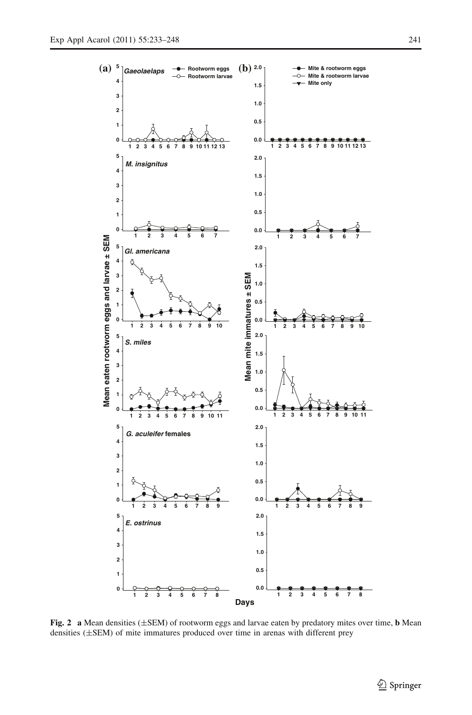<span id="page-8-0"></span>

Fig. 2 a Mean densities  $(\pm$ SEM) of rootworm eggs and larvae eaten by predatory mites over time, **b** Mean densities (±SEM) of mite immatures produced over time in arenas with different prey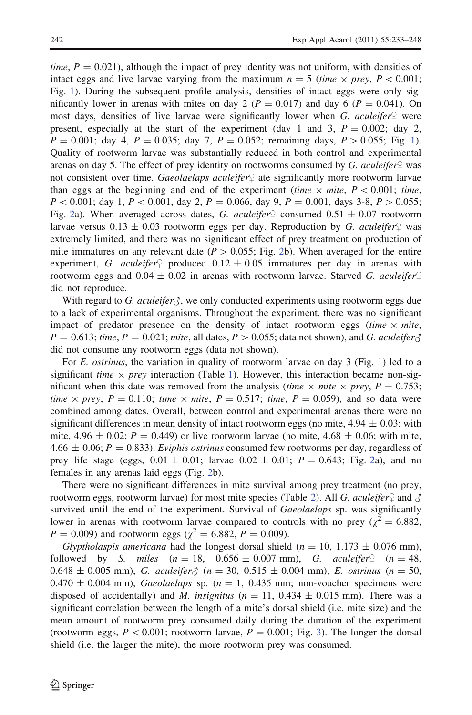time,  $P = 0.021$ ), although the impact of prey identity was not uniform, with densities of intact eggs and live larvae varying from the maximum  $n = 5$  (time  $\times$  prey, P < 0.001; Fig. [1\)](#page-6-0). During the subsequent profile analysis, densities of intact eggs were only significantly lower in arenas with mites on day 2 ( $P = 0.017$ ) and day 6 ( $P = 0.041$ ). On most days, densities of live larvae were significantly lower when G. aculeifer  $\varphi$  were present, especially at the start of the experiment (day 1 and 3,  $P = 0.002$ ; day 2,  $P = 0.001$  $P = 0.001$ ; day 4,  $P = 0.035$ ; day 7,  $P = 0.052$ ; remaining days,  $P > 0.055$ ; Fig. 1). Quality of rootworm larvae was substantially reduced in both control and experimental arenas on day 5. The effect of prey identity on rootworms consumed by G. aculeifer  $\mathcal Q$  was not consistent over time. Gaeolaelaps aculeifer $\varphi$  ate significantly more rootworm larvae than eggs at the beginning and end of the experiment (time  $\times$  mite,  $P \lt 0.001$ ; time,  $P \lt 0.001$ ; day 1,  $P \lt 0.001$ , day 2,  $P = 0.066$ , day 9,  $P = 0.001$ , days 3-8,  $P > 0.055$ ; Fig. [2a](#page-8-0)). When averaged across dates, G. aculeifer  $\varphi$  consumed 0.51  $\pm$  0.07 rootworm larvae versus  $0.13 \pm 0.03$  rootworm eggs per day. Reproduction by G. aculeifer  $\varphi$  was extremely limited, and there was no significant effect of prey treatment on production of mite immatures on any relevant date ( $P > 0.055$ ; Fig. [2b](#page-8-0)). When averaged for the entire experiment, G. aculeifer<sup>1</sup> produced  $0.12 \pm 0.05$  immatures per day in arenas with rootworm eggs and  $0.04 \pm 0.02$  in arenas with rootworm larvae. Starved G. aculeifer did not reproduce.

With regard to G. aculeifer  $\zeta$ , we only conducted experiments using rootworm eggs due to a lack of experimental organisms. Throughout the experiment, there was no significant impact of predator presence on the density of intact rootworm eggs (time  $\times$  mite,  $P = 0.613$ ; time,  $P = 0.021$ ; mite, all dates,  $P > 0.055$ ; data not shown), and G. aculeifer  $\delta$ did not consume any rootworm eggs (data not shown).

For *E. ostrinus*, the variation in quality of rootworm larvae on day 3 (Fig. [1](#page-6-0)) led to a significant *time*  $\times$  *prey* interaction (Table [1](#page-7-0)). However, this interaction became non-significant when this date was removed from the analysis (*time*  $\times$  *mite*  $\times$  *prey, P* = 0.753; time  $\times$  prey,  $P = 0.110$ ; time  $\times$  mite,  $P = 0.517$ ; time,  $P = 0.059$ ), and so data were combined among dates. Overall, between control and experimental arenas there were no significant differences in mean density of intact rootworm eggs (no mite,  $4.94 \pm 0.03$ ; with mite, 4.96  $\pm$  0.02; P = 0.449) or live rootworm larvae (no mite, 4.68  $\pm$  0.06; with mite, 4.66  $\pm$  0.06; P = 0.833). Eviphis ostrinus consumed few rootworms per day, regardless of prey life stage (eggs,  $0.01 \pm 0.01$ ; larvae  $0.02 \pm 0.01$  $0.02 \pm 0.01$  $0.02 \pm 0.01$ ;  $P = 0.643$ ; Fig. 2a), and no females in any arenas laid eggs (Fig. [2](#page-8-0)b).

There were no significant differences in mite survival among prey treatment (no prey, rootworm eggs, rootworm larvae) for most mite species (Table [2](#page-10-0)). All G. aculeifer  $\varphi$  and  $\varphi$ survived until the end of the experiment. Survival of *Gaeolaelaps* sp. was significantly lower in arenas with rootworm larvae compared to controls with no prey ( $\chi^2 = 6.882$ ,  $P = 0.009$ ) and rootworm eggs ( $\chi^2 = 6.882, P = 0.009$ ).

Glyptholaspis americana had the longest dorsal shield ( $n = 10, 1.173 \pm 0.076$  mm), followed by S. miles  $(n = 18, 0.656 \pm 0.007 \text{ mm})$ , G. aculeifer  $(n = 48,$  $0.648 \pm 0.005$  mm), G. aculeifer  $\zeta$  ( $n = 30, 0.515 \pm 0.004$  mm), E. ostrinus ( $n = 50$ ,  $0.470 \pm 0.004$  mm), Gaeolaelaps sp. ( $n = 1$ , 0.435 mm; non-voucher specimens were disposed of accidentally) and M. insignitus ( $n = 11$ , 0.434  $\pm$  0.015 mm). There was a significant correlation between the length of a mite's dorsal shield (i.e. mite size) and the mean amount of rootworm prey consumed daily during the duration of the experiment (rootworm eggs,  $P \le 0.001$ ; rootworm larvae,  $P = 0.001$ ; Fig. [3](#page-10-0)). The longer the dorsal shield (i.e. the larger the mite), the more rootworm prey was consumed.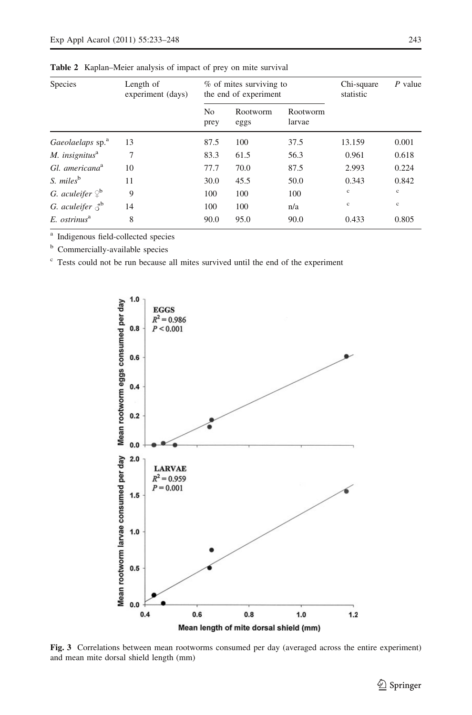| Species                                 | Length of<br>experiment (days) | % of mites surviving to<br>the end of experiment |                  |                    | Chi-square<br>statistic | $P$ value    |
|-----------------------------------------|--------------------------------|--------------------------------------------------|------------------|--------------------|-------------------------|--------------|
|                                         |                                | No<br>prey                                       | Rootworm<br>eggs | Rootworm<br>larvae |                         |              |
| Gaeolaelaps sp. <sup>a</sup>            | 13                             | 87.5                                             | 100              | 37.5               | 13.159                  | 0.001        |
| M. insignitus $a$                       | 7                              | 83.3                                             | 61.5             | 56.3               | 0.961                   | 0.618        |
| Gl. americana <sup>a</sup>              | 10                             | 77.7                                             | 70.0             | 87.5               | 2.993                   | 0.224        |
| S. miles <sup>b</sup>                   | 11                             | 30.0                                             | 45.5             | 50.0               | 0.343                   | 0.842        |
| G. aculeifer $\mathcal{Q}^{\mathbf{b}}$ | 9                              | 100                                              | 100              | 100                | $_{\rm c}$              | $\mathbf{c}$ |
| G. aculeifer $\delta^{\rm b}$           | 14                             | 100                                              | 100              | n/a                | $\mathbf{c}$            | $_{\rm c}$   |
| $E.$ ostrinus $a^a$                     | 8                              | 90.0                                             | 95.0             | 90.0               | 0.433                   | 0.805        |

<span id="page-10-0"></span>Table 2 Kaplan–Meier analysis of impact of prey on mite survival

<sup>a</sup> Indigenous field-collected species

**b** Commercially-available species

 $\epsilon$  Tests could not be run because all mites survived until the end of the experiment



Fig. 3 Correlations between mean rootworms consumed per day (averaged across the entire experiment) and mean mite dorsal shield length (mm)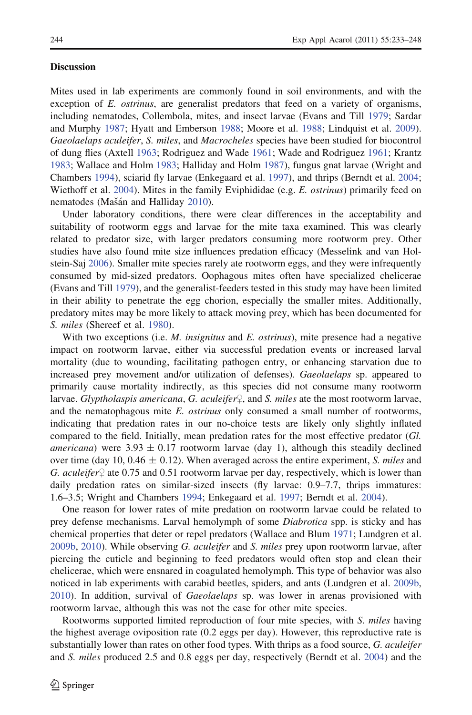## **Discussion**

Mites used in lab experiments are commonly found in soil environments, and with the exception of  $E$ , *ostrinus*, are generalist predators that feed on a variety of organisms, including nematodes, Collembola, mites, and insect larvae (Evans and Till [1979;](#page-13-0) Sardar and Murphy [1987](#page-14-0); Hyatt and Emberson [1988](#page-13-0); Moore et al. [1988](#page-14-0); Lindquist et al. [2009](#page-13-0)). Gaeolaelaps aculeifer, S. miles, and Macrocheles species have been studied for biocontrol of dung flies (Axtell [1963;](#page-12-0) Rodriguez and Wade [1961;](#page-14-0) Wade and Rodriguez [1961](#page-14-0); Krantz [1983;](#page-13-0) Wallace and Holm [1983](#page-14-0); Halliday and Holm [1987\)](#page-13-0), fungus gnat larvae (Wright and Chambers [1994\)](#page-15-0), sciarid fly larvae (Enkegaard et al. [1997\)](#page-13-0), and thrips (Berndt et al. [2004;](#page-13-0) Wiethoff et al. [2004\)](#page-15-0). Mites in the family Eviphididae (e.g. E. *ostrinus*) primarily feed on nematodes (Mašán and Halliday [2010\)](#page-14-0).

Under laboratory conditions, there were clear differences in the acceptability and suitability of rootworm eggs and larvae for the mite taxa examined. This was clearly related to predator size, with larger predators consuming more rootworm prey. Other studies have also found mite size influences predation efficacy (Messelink and van Holstein-Saj [2006](#page-14-0)). Smaller mite species rarely ate rootworm eggs, and they were infrequently consumed by mid-sized predators. Oophagous mites often have specialized chelicerae (Evans and Till [1979](#page-13-0)), and the generalist-feeders tested in this study may have been limited in their ability to penetrate the egg chorion, especially the smaller mites. Additionally, predatory mites may be more likely to attack moving prey, which has been documented for S. *miles* (Shereef et al. [1980\)](#page-14-0).

With two exceptions (i.e. M. *insignitus* and E. *ostrinus*), mite presence had a negative impact on rootworm larvae, either via successful predation events or increased larval mortality (due to wounding, facilitating pathogen entry, or enhancing starvation due to increased prey movement and/or utilization of defenses). Gaeolaelaps sp. appeared to primarily cause mortality indirectly, as this species did not consume many rootworm larvae. Glyptholaspis americana, G. aculeifer $\varphi$ , and S. miles ate the most rootworm larvae, and the nematophagous mite E. ostrinus only consumed a small number of rootworms, indicating that predation rates in our no-choice tests are likely only slightly inflated compared to the field. Initially, mean predation rates for the most effective predator (Gl. *americana*) were 3.93  $\pm$  0.17 rootworm larvae (day 1), although this steadily declined over time (day 10, 0.46  $\pm$  0.12). When averaged across the entire experiment, *S. miles* and G. aculeifer  $\varphi$  ate 0.75 and 0.51 rootworm larvae per day, respectively, which is lower than daily predation rates on similar-sized insects (fly larvae: 0.9–7.7, thrips immatures: 1.6–3.5; Wright and Chambers [1994](#page-15-0); Enkegaard et al. [1997](#page-13-0); Berndt et al. [2004\)](#page-13-0).

One reason for lower rates of mite predation on rootworm larvae could be related to prey defense mechanisms. Larval hemolymph of some *Diabrotica* spp. is sticky and has chemical properties that deter or repel predators (Wallace and Blum [1971](#page-14-0); Lundgren et al.  $2009b$ ,  $2010$ ). While observing G. aculeifer and S. miles prey upon rootworm larvae, after piercing the cuticle and beginning to feed predators would often stop and clean their chelicerae, which were ensnared in coagulated hemolymph. This type of behavior was also noticed in lab experiments with carabid beetles, spiders, and ants (Lundgren et al. [2009b](#page-13-0), [2010\)](#page-14-0). In addition, survival of *Gaeolaelaps* sp. was lower in arenas provisioned with rootworm larvae, although this was not the case for other mite species.

Rootworms supported limited reproduction of four mite species, with S. miles having the highest average oviposition rate (0.2 eggs per day). However, this reproductive rate is substantially lower than rates on other food types. With thrips as a food source, G. aculeifer and S. miles produced 2.5 and 0.8 eggs per day, respectively (Berndt et al. [2004](#page-13-0)) and the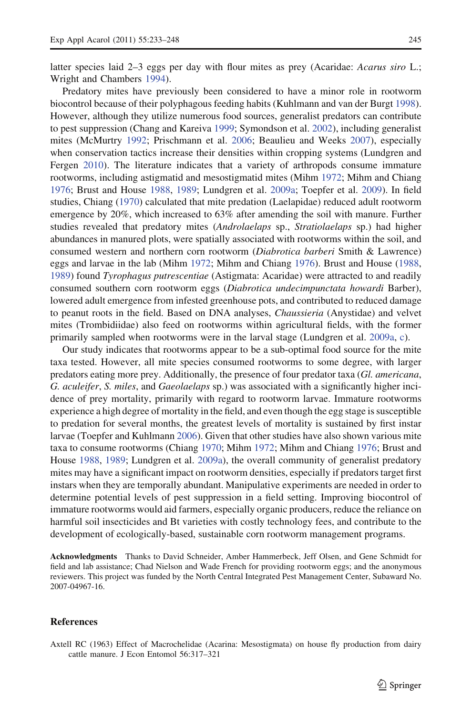<span id="page-12-0"></span>latter species laid 2–3 eggs per day with flour mites as prey (Acaridae: Acarus siro L.; Wright and Chambers [1994](#page-15-0)).

Predatory mites have previously been considered to have a minor role in rootworm biocontrol because of their polyphagous feeding habits (Kuhlmann and van der Burgt [1998](#page-13-0)). However, although they utilize numerous food sources, generalist predators can contribute to pest suppression (Chang and Kareiva [1999](#page-13-0); Symondson et al. [2002\)](#page-14-0), including generalist mites (McMurtry [1992;](#page-14-0) Prischmann et al. [2006;](#page-14-0) Beaulieu and Weeks [2007](#page-13-0)), especially when conservation tactics increase their densities within cropping systems (Lundgren and Fergen [2010](#page-13-0)). The literature indicates that a variety of arthropods consume immature rootworms, including astigmatid and mesostigmatid mites (Mihm [1972](#page-14-0); Mihm and Chiang [1976;](#page-14-0) Brust and House [1988,](#page-13-0) [1989](#page-13-0); Lundgren et al. [2009a](#page-13-0); Toepfer et al. [2009\)](#page-14-0). In field studies, Chiang ([1970\)](#page-13-0) calculated that mite predation (Laelapidae) reduced adult rootworm emergence by 20%, which increased to 63% after amending the soil with manure. Further studies revealed that predatory mites (Androlaelaps sp., Stratiolaelaps sp.) had higher abundances in manured plots, were spatially associated with rootworms within the soil, and consumed western and northern corn rootworm (Diabrotica barberi Smith & Lawrence) eggs and larvae in the lab (Mihm [1972](#page-14-0); Mihm and Chiang [1976](#page-14-0)). Brust and House [\(1988](#page-13-0), [1989\)](#page-13-0) found Tyrophagus putrescentiae (Astigmata: Acaridae) were attracted to and readily consumed southern corn rootworm eggs (Diabrotica undecimpunctata howardi Barber), lowered adult emergence from infested greenhouse pots, and contributed to reduced damage to peanut roots in the field. Based on DNA analyses, Chaussieria (Anystidae) and velvet mites (Trombidiidae) also feed on rootworms within agricultural fields, with the former primarily sampled when rootworms were in the larval stage (Lundgren et al. [2009a](#page-13-0), [c\)](#page-14-0).

Our study indicates that rootworms appear to be a sub-optimal food source for the mite taxa tested. However, all mite species consumed rootworms to some degree, with larger predators eating more prey. Additionally, the presence of four predator taxa (Gl. americana, G. aculeifer, S. miles, and Gaeolaelaps sp.) was associated with a significantly higher incidence of prey mortality, primarily with regard to rootworm larvae. Immature rootworms experience a high degree of mortality in the field, and even though the egg stage is susceptible to predation for several months, the greatest levels of mortality is sustained by first instar larvae (Toepfer and Kuhlmann [2006\)](#page-14-0). Given that other studies have also shown various mite taxa to consume rootworms (Chiang [1970](#page-13-0); Mihm [1972;](#page-14-0) Mihm and Chiang [1976;](#page-14-0) Brust and House [1988,](#page-13-0) [1989;](#page-13-0) Lundgren et al. [2009a](#page-13-0)), the overall community of generalist predatory mites may have a significant impact on rootworm densities, especially if predators target first instars when they are temporally abundant. Manipulative experiments are needed in order to determine potential levels of pest suppression in a field setting. Improving biocontrol of immature rootworms would aid farmers, especially organic producers, reduce the reliance on harmful soil insecticides and Bt varieties with costly technology fees, and contribute to the development of ecologically-based, sustainable corn rootworm management programs.

Acknowledgments Thanks to David Schneider, Amber Hammerbeck, Jeff Olsen, and Gene Schmidt for field and lab assistance; Chad Nielson and Wade French for providing rootworm eggs; and the anonymous reviewers. This project was funded by the North Central Integrated Pest Management Center, Subaward No. 2007-04967-16.

#### References

Axtell RC (1963) Effect of Macrochelidae (Acarina: Mesostigmata) on house fly production from dairy cattle manure. J Econ Entomol 56:317–321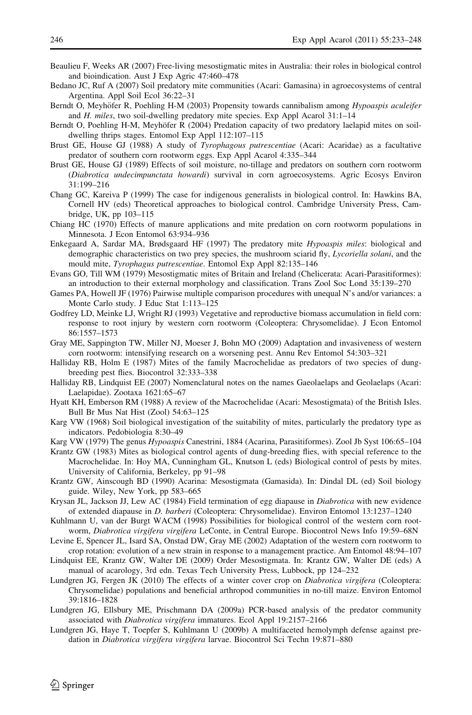- <span id="page-13-0"></span>Beaulieu F, Weeks AR (2007) Free-living mesostigmatic mites in Australia: their roles in biological control and bioindication. Aust J Exp Agric 47:460–478
- Bedano JC, Ruf A (2007) Soil predatory mite communities (Acari: Gamasina) in agroecosystems of central Argentina. Appl Soil Ecol 36:22–31
- Berndt O, Meyhöfer R, Poehling H-M (2003) Propensity towards cannibalism among Hypoaspis aculeifer and H. miles, two soil-dwelling predatory mite species. Exp Appl Acarol 31:1–14
- Berndt O, Poehling H-M, Meyhöfer R (2004) Predation capacity of two predatory laelapid mites on soildwelling thrips stages. Entomol Exp Appl 112:107–115
- Brust GE, House GJ (1988) A study of *Tyrophagous putrescentiae* (Acari: Acaridae) as a facultative predator of southern corn rootworm eggs. Exp Appl Acarol 4:335–344
- Brust GE, House GJ (1989) Effects of soil moisture, no-tillage and predators on southern corn rootworm (Diabrotica undecimpunctata howardi) survival in corn agroecosystems. Agric Ecosys Environ 31:199–216
- Chang GC, Kareiva P (1999) The case for indigenous generalists in biological control. In: Hawkins BA, Cornell HV (eds) Theoretical approaches to biological control. Cambridge University Press, Cambridge, UK, pp 103–115
- Chiang HC (1970) Effects of manure applications and mite predation on corn rootworm populations in Minnesota. J Econ Entomol 63:934–936
- Enkegaard A, Sardar MA, Brødsgaard HF (1997) The predatory mite Hypoaspis miles: biological and demographic characteristics on two prey species, the mushroom sciarid fly, Lycoriella solani, and the mould mite, Tyrophagus putrescentiae. Entomol Exp Appl 82:135–146
- Evans GO, Till WM (1979) Mesostigmatic mites of Britain and Ireland (Chelicerata: Acari-Parasitiformes): an introduction to their external morphology and classification. Trans Zool Soc Lond 35:139–270
- Games PA, Howell JF (1976) Pairwise multiple comparison procedures with unequal N's and/or variances: a Monte Carlo study. J Educ Stat 1:113–125
- Godfrey LD, Meinke LJ, Wright RJ (1993) Vegetative and reproductive biomass accumulation in field corn: response to root injury by western corn rootworm (Coleoptera: Chrysomelidae). J Econ Entomol 86:1557–1573
- Gray ME, Sappington TW, Miller NJ, Moeser J, Bohn MO (2009) Adaptation and invasiveness of western corn rootworm: intensifying research on a worsening pest. Annu Rev Entomol 54:303–321
- Halliday RB, Holm E (1987) Mites of the family Macrochelidae as predators of two species of dungbreeding pest flies. Biocontrol 32:333–338
- Halliday RB, Lindquist EE (2007) Nomenclatural notes on the names Gaeolaelaps and Geolaelaps (Acari: Laelapidae). Zootaxa 1621:65–67
- Hyatt KH, Emberson RM (1988) A review of the Macrochelidae (Acari: Mesostigmata) of the British Isles. Bull Br Mus Nat Hist (Zool) 54:63–125
- Karg VW (1968) Soil biological investigation of the suitability of mites, particularly the predatory type as indicators. Pedobiologia 8:30–49
- Karg VW (1979) The genus Hypoaspis Canestrini, 1884 (Acarina, Parasitiformes). Zool Jb Syst 106:65–104
- Krantz GW (1983) Mites as biological control agents of dung-breeding flies, with special reference to the Macrochelidae. In: Hoy MA, Cunningham GL, Knutson L (eds) Biological control of pests by mites. University of California, Berkeley, pp 91–98
- Krantz GW, Ainscough BD (1990) Acarina: Mesostigmata (Gamasida). In: Dindal DL (ed) Soil biology guide. Wiley, New York, pp 583–665
- Krysan JL, Jackson JJ, Lew AC (1984) Field termination of egg diapause in Diabrotica with new evidence of extended diapause in D. barberi (Coleoptera: Chrysomelidae). Environ Entomol 13:1237–1240
- Kuhlmann U, van der Burgt WACM (1998) Possibilities for biological control of the western corn rootworm, Diabrotica virgifera virgifera LeConte, in Central Europe. Biocontrol News Info 19:59–68N
- Levine E, Spencer JL, Isard SA, Onstad DW, Gray ME (2002) Adaptation of the western corn rootworm to crop rotation: evolution of a new strain in response to a management practice. Am Entomol 48:94–107
- Lindquist EE, Krantz GW, Walter DE (2009) Order Mesostigmata. In: Krantz GW, Walter DE (eds) A manual of acarology, 3rd edn. Texas Tech University Press, Lubbock, pp 124–232
- Lundgren JG, Fergen JK (2010) The effects of a winter cover crop on *Diabrotica virgifera* (Coleoptera: Chrysomelidae) populations and beneficial arthropod communities in no-till maize. Environ Entomol 39:1816–1828
- Lundgren JG, Ellsbury ME, Prischmann DA (2009a) PCR-based analysis of the predator community associated with Diabrotica virgifera immatures. Ecol Appl 19:2157–2166
- Lundgren JG, Haye T, Toepfer S, Kuhlmann U (2009b) A multifaceted hemolymph defense against predation in Diabrotica virgifera virgifera larvae. Biocontrol Sci Techn 19:871–880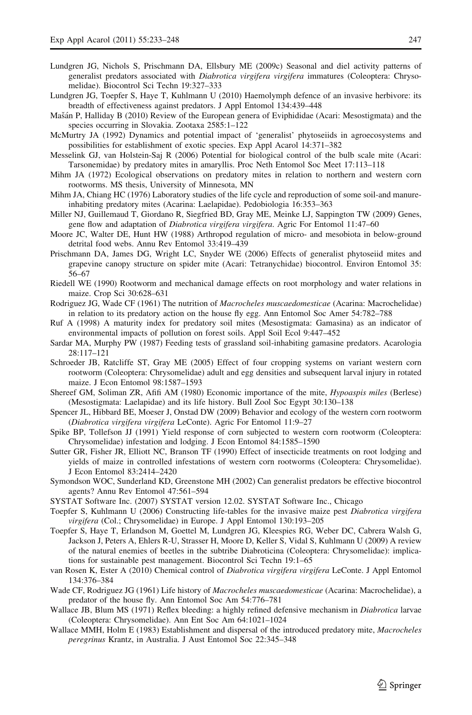- <span id="page-14-0"></span>Lundgren JG, Nichols S, Prischmann DA, Ellsbury ME (2009c) Seasonal and diel activity patterns of generalist predators associated with *Diabrotica virgifera virgifera* immatures (Coleoptera: Chrysomelidae). Biocontrol Sci Techn 19:327–333
- Lundgren JG, Toepfer S, Haye T, Kuhlmann U (2010) Haemolymph defence of an invasive herbivore: its breadth of effectiveness against predators. J Appl Entomol 134:439–448
- Mašán P, Halliday B (2010) Review of the European genera of Eviphididae (Acari: Mesostigmata) and the species occurring in Slovakia. Zootaxa 2585:1–122
- McMurtry JA (1992) Dynamics and potential impact of 'generalist' phytoseiids in agroecosystems and possibilities for establishment of exotic species. Exp Appl Acarol 14:371–382
- Messelink GJ, van Holstein-Saj R (2006) Potential for biological control of the bulb scale mite (Acari: Tarsonemidae) by predatory mites in amaryllis. Proc Neth Entomol Soc Meet 17:113–118
- Mihm JA (1972) Ecological observations on predatory mites in relation to northern and western corn rootworms. MS thesis, University of Minnesota, MN
- Mihm JA, Chiang HC (1976) Laboratory studies of the life cycle and reproduction of some soil-and manureinhabiting predatory mites (Acarina: Laelapidae). Pedobiologia 16:353–363
- Miller NJ, Guillemaud T, Giordano R, Siegfried BD, Gray ME, Meinke LJ, Sappington TW (2009) Genes, gene flow and adaptation of *Diabrotica virgifera virgifera*. Agric For Entomol 11:47-60
- Moore JC, Walter DE, Hunt HW (1988) Arthropod regulation of micro- and mesobiota in below-ground detrital food webs. Annu Rev Entomol 33:419–439
- Prischmann DA, James DG, Wright LC, Snyder WE (2006) Effects of generalist phytoseiid mites and grapevine canopy structure on spider mite (Acari: Tetranychidae) biocontrol. Environ Entomol 35: 56–67
- Riedell WE (1990) Rootworm and mechanical damage effects on root morphology and water relations in maize. Crop Sci 30:628–631
- Rodriguez JG, Wade CF (1961) The nutrition of Macrocheles muscaedomesticae (Acarina: Macrochelidae) in relation to its predatory action on the house fly egg. Ann Entomol Soc Amer 54:782–788
- Ruf A (1998) A maturity index for predatory soil mites (Mesostigmata: Gamasina) as an indicator of environmental impacts of pollution on forest soils. Appl Soil Ecol 9:447–452
- Sardar MA, Murphy PW (1987) Feeding tests of grassland soil-inhabiting gamasine predators. Acarologia 28:117–121
- Schroeder JB, Ratcliffe ST, Gray ME (2005) Effect of four cropping systems on variant western corn rootworm (Coleoptera: Chrysomelidae) adult and egg densities and subsequent larval injury in rotated maize. J Econ Entomol 98:1587–1593
- Shereef GM, Soliman ZR, Afifi AM (1980) Economic importance of the mite, Hypoaspis miles (Berlese) (Mesostigmata: Laelapidae) and its life history. Bull Zool Soc Egypt 30:130–138
- Spencer JL, Hibbard BE, Moeser J, Onstad DW (2009) Behavior and ecology of the western corn rootworm (Diabrotica virgifera virgifera LeConte). Agric For Entomol 11:9–27
- Spike BP, Tollefson JJ (1991) Yield response of corn subjected to western corn rootworm (Coleoptera: Chrysomelidae) infestation and lodging. J Econ Entomol 84:1585–1590
- Sutter GR, Fisher JR, Elliott NC, Branson TF (1990) Effect of insecticide treatments on root lodging and yields of maize in controlled infestations of western corn rootworms (Coleoptera: Chrysomelidae). J Econ Entomol 83:2414–2420
- Symondson WOC, Sunderland KD, Greenstone MH (2002) Can generalist predators be effective biocontrol agents? Annu Rev Entomol 47:561–594
- SYSTAT Software Inc. (2007) SYSTAT version 12.02. SYSTAT Software Inc., Chicago
- Toepfer S, Kuhlmann U (2006) Constructing life-tables for the invasive maize pest Diabrotica virgifera virgifera (Col.; Chrysomelidae) in Europe. J Appl Entomol 130:193–205
- Toepfer S, Haye T, Erlandson M, Goettel M, Lundgren JG, Kleespies RG, Weber DC, Cabrera Walsh G, Jackson J, Peters A, Ehlers R-U, Strasser H, Moore D, Keller S, Vidal S, Kuhlmann U (2009) A review of the natural enemies of beetles in the subtribe Diabroticina (Coleoptera: Chrysomelidae): implications for sustainable pest management. Biocontrol Sci Techn 19:1–65
- van Rosen K, Ester A (2010) Chemical control of Diabrotica virgifera virgifera LeConte. J Appl Entomol 134:376–384
- Wade CF, Rodriguez JG (1961) Life history of Macrocheles muscaedomesticae (Acarina: Macrochelidae), a predator of the house fly. Ann Entomol Soc Am 54:776–781
- Wallace JB, Blum MS (1971) Reflex bleeding: a highly refined defensive mechanism in *Diabrotica* larvae (Coleoptera: Chrysomelidae). Ann Ent Soc Am 64:1021–1024
- Wallace MMH, Holm E (1983) Establishment and dispersal of the introduced predatory mite, Macrocheles peregrinus Krantz, in Australia. J Aust Entomol Soc 22:345–348